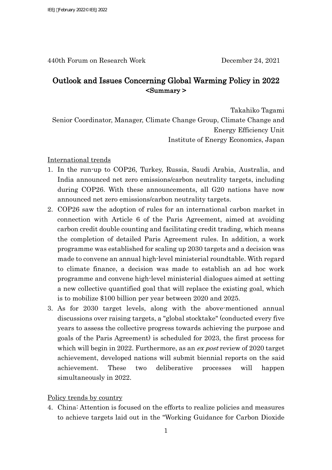440th Forum on Research Work December 24, 2021

## Outlook and Issues Concerning Global Warming Policy in 2022 <Summary >

Takahiko Tagami

Senior Coordinator, Manager, Climate Change Group, Climate Change and Energy Efficiency Unit Institute of Energy Economics, Japan

International trends

- 1. In the run-up to COP26, Turkey, Russia, Saudi Arabia, Australia, and India announced net zero emissions/carbon neutrality targets, including during COP26. With these announcements, all G20 nations have now announced net zero emissions/carbon neutrality targets.
- 2. COP26 saw the adoption of rules for an international carbon market in connection with Article 6 of the Paris Agreement, aimed at avoiding carbon credit double counting and facilitating credit trading, which means the completion of detailed Paris Agreement rules. In addition, a work programme was established for scaling up 2030 targets and a decision was made to convene an annual high-level ministerial roundtable. With regard to climate finance, a decision was made to establish an ad hoc work programme and convene high-level ministerial dialogues aimed at setting a new collective quantified goal that will replace the existing goal, which is to mobilize \$100 billion per year between 2020 and 2025.
- 3. As for 2030 target levels, along with the above-mentioned annual discussions over raising targets, a "global stocktake" (conducted every five years to assess the collective progress towards achieving the purpose and goals of the Paris Agreement) is scheduled for 2023, the first process for which will begin in 2022. Furthermore, as an expost review of 2020 target achievement, developed nations will submit biennial reports on the said achievement. These two deliberative processes will happen simultaneously in 2022.

Policy trends by country

4. China: Attention is focused on the efforts to realize policies and measures to achieve targets laid out in the "Working Guidance for Carbon Dioxide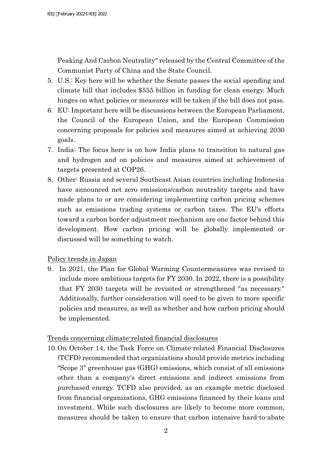Peaking And Carbon Neutrality" released by the Central Committee of the Communist Party of China and the State Council.

- 5. U.S.: Key here will be whether the Senate passes the social spending and climate bill that includes \$555 billion in funding for clean energy. Much hinges on what policies or measures will be taken if the bill does not pass.
- 6. EU: Important here will be discussions between the European Parliament, the Council of the European Union, and the European Commission concerning proposals for policies and measures aimed at achieving 2030 goals.
- 7. India: The focus here is on how India plans to transition to natural gas and hydrogen and on policies and measures aimed at achievement of targets presented at COP26.
- 8. Other: Russia and several Southeast Asian countries including Indonesia have announced net zero emissions/carbon neutrality targets and have made plans to or are considering implementing carbon pricing schemes such as emissions trading systems or carbon taxes. The EU's efforts toward a carbon border adjustment mechanism are one factor behind this development. How carbon pricing will be globally implemented or discussed will be something to watch.

Policy trends in Japan

9. In 2021, the Plan for Global Warming Countermeasures was revised to include more ambitious targets for FY 2030. In 2022, there is a possibility that FY 2030 targets will be revisited or strengthened "as necessary." Additionally, further consideration will need to be given to more specific policies and measures, as well as whether and how carbon pricing should be implemented.

## Trends concerning climate-related financial disclosures

10.On October 14, the Task Force on Climate-related Financial Disclosures (TCFD) recommended that organizations should provide metrics including "Scope 3" greenhouse gas (GHG) emissions, which consist of all emissions other than a company's direct emissions and indirect emissions from purchased energy. TCFD also provided, as an example metric disclosed from financial organizations, GHG emissions financed by their loans and investment. While such disclosures are likely to become more common, measures should be taken to ensure that carbon intensive hard-to-abate